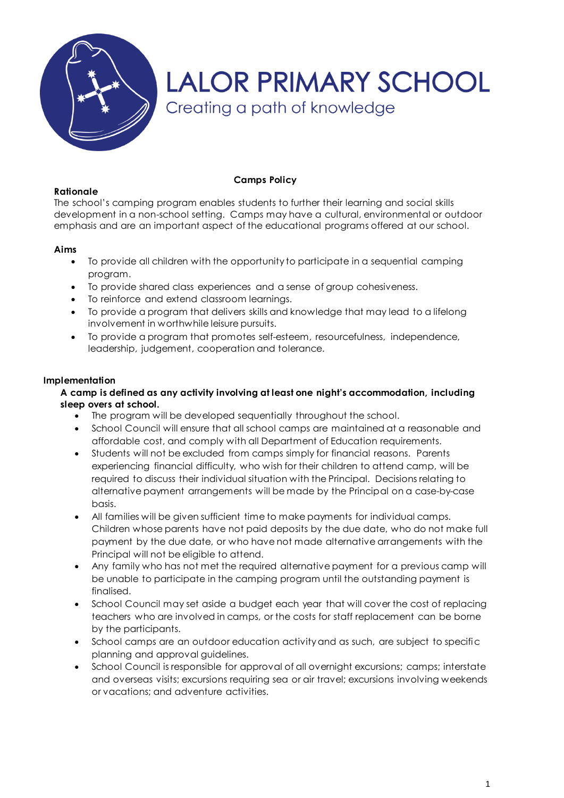

## **Rationale**

## **Camps Policy**

The school's camping program enables students to further their learning and social skills development in a non-school setting. Camps may have a cultural, environmental or outdoor emphasis and are an important aspect of the educational programs offered at our school.

## **Aims**

- To provide all children with the opportunity to participate in a sequential camping program.
- To provide shared class experiences and a sense of group cohesiveness.
- To reinforce and extend classroom learnings.
- To provide a program that delivers skills and knowledge that may lead to a lifelong involvement in worthwhile leisure pursuits.
- To provide a program that promotes self-esteem, resourcefulness, independence, leadership, judgement, cooperation and tolerance.

## **Implementation**

## **A camp is defined as any activity involving at least one night's accommodation, including sleep overs at school.**

- The program will be developed sequentially throughout the school.
- School Council will ensure that all school camps are maintained at a reasonable and affordable cost, and comply with all Department of Education requirements.
- Students will not be excluded from camps simply for financial reasons. Parents experiencing financial difficulty, who wish for their children to attend camp, will be required to discuss their individual situation with the Principal. Decisions relating to alternative payment arrangements will be made by the Principal on a case-by-case basis.
- All families will be given sufficient time to make payments for individual camps. Children whose parents have not paid deposits by the due date, who do not make full payment by the due date, or who have not made alternative arrangements with the Principal will not be eligible to attend.
- Any family who has not met the required alternative payment for a previous camp will be unable to participate in the camping program until the outstanding payment is finalised.
- School Council may set aside a budget each year that will cover the cost of replacing teachers who are involved in camps, or the costs for staff replacement can be borne by the participants.
- School camps are an outdoor education activity and as such, are subject to specific planning and approval guidelines.
- School Council is responsible for approval of all overnight excursions; camps; interstate and overseas visits; excursions requiring sea or air travel; excursions involving weekends or vacations; and adventure activities.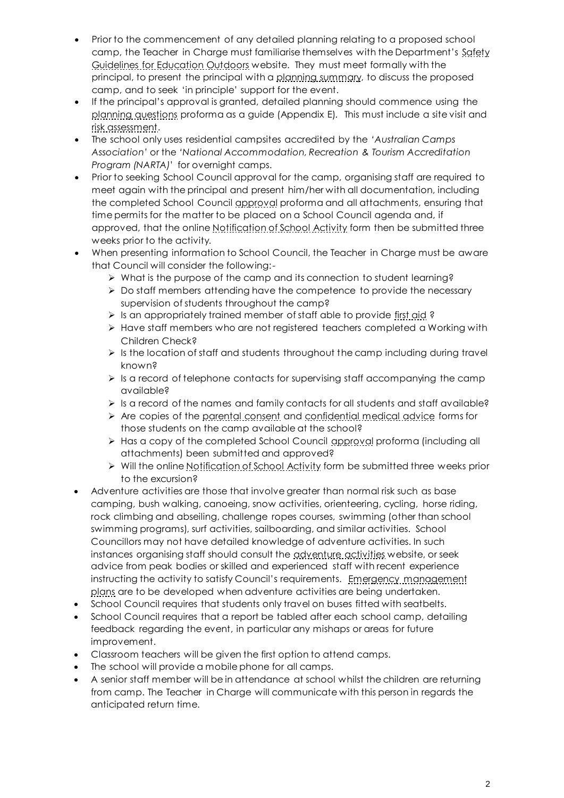- Prior to the commencement of any detailed planning relating to a proposed school camp, the Teacher in Charge must familiarise themselves with the Department's Safety [Guidelines for Education Outdoors](http://www.education.vic.gov.au/management/schooloperations/edoutdoors/default.htm) website. They must meet formally with the principal, to present the principal with [a planning summary,](http://www.eduweb.vic.gov.au/edulibrary/public/schadmin/schops/edoutdoors/planningsummary.doc) to discuss the proposed camp, and to seek 'in principle' support for the event.
- If the principal's approval is granted, detailed planning should commence using the [planning questions](http://www.eduweb.vic.gov.au/edulibrary/public/schadmin/schops/edoutdoors/planningquestions.doc) proforma as a guide (Appendix E). This must include a site visit and [risk assessment.](http://www.education.vic.gov.au/management/schooloperations/edoutdoors/risk.htm)
- The school only uses residential campsites accredited by the *'Australian Camps Association'* or the *'National Accommodation, Recreation & Tourism Accreditation Program (NARTA)*' for overnight camps.
- Prior to seeking School Council approval for the camp, organising staff are required to meet again with the principal and present him/her with all documentation, including the completed School Council [approval](http://www.eduweb.vic.gov.au/edulibrary/public/schadmin/schops/edoutdoors/approvalform.doc) proforma and all attachments, ensuring that time permits for the matter to be placed on a School Council agenda and, if approved, that the onlin[e Notification of School Activity](http://www.eduweb.vic.gov.au/forms/school/sal/enteractivity.asp) form then be submitted three weeks prior to the activity.
- When presenting information to School Council, the Teacher in Charge must be aware that Council will consider the following:-
	- What is the purpose of the camp and its connection to student learning?
	- $\triangleright$  Do staff members attending have the competence to provide the necessary supervision of students throughout the camp?
	- $\triangleright$  Is an appropriately trained member of staff able to provide [first aid](http://www.education.vic.gov.au/management/schooloperations/edoutdoors/resources/firstaid.htm) ?
	- $\triangleright$  Have staff members who are not registered teachers completed a Working with Children Check?
	- $\triangleright$  Is the location of staff and students throughout the camp including during travel known?
	- $\triangleright$  Is a record of telephone contacts for supervising staff accompanying the camp available?
	- $\triangleright$  Is a record of the names and family contacts for all students and staff available?
	- $\triangleright$  Are copies of the <u>parental consent</u> and [confidential medical advice](http://www.eduweb.vic.gov.au/edulibrary/public/schadmin/schops/edoutdoors/medicalinformation.doc) forms for those students on the camp available at the school?
	- Has a copy of the completed School Council [approval](http://www.eduweb.vic.gov.au/edulibrary/public/schadmin/schops/edoutdoors/approvalform.doc) proforma (including all attachments) been submitted and approved?
	- ▶ Will the onlin[e Notification of School Activity](http://www.eduweb.vic.gov.au/forms/school/sal/enteractivity.asp) form be submitted three weeks prior to the excursion?
- Adventure activities are those that involve greater than normal risk such as base camping, bush walking, canoeing, snow activities, orienteering, cycling, horse riding, rock climbing and abseiling, challenge ropes courses, swimming (other than school swimming programs), surf activities, sailboarding, and similar activities. School Councillors may not have detailed knowledge of adventure activities. In such instances organising staff should consult the [adventure activities](http://www.education.vic.gov.au/management/schooloperations/edoutdoors/activities/default.htm) website, or seek advice from peak bodies or skilled and experienced staff with recent experience instructing the activity to satisfy Council's requirements. Emergency management [plans](http://www.education.vic.gov.au/management/schooloperations/edoutdoors/forms.htm) are to be developed when adventure activities are being undertaken.
- School Council requires that students only travel on buses fitted with seatbelts.
- School Council requires that a report be tabled after each school camp, detailing feedback regarding the event, in particular any mishaps or areas for future improvement.
- Classroom teachers will be given the first option to attend camps.
- The school will provide a mobile phone for all camps.
- A senior staff member will be in attendance at school whilst the children are returning from camp. The Teacher in Charge will communicate with this person in regards the anticipated return time.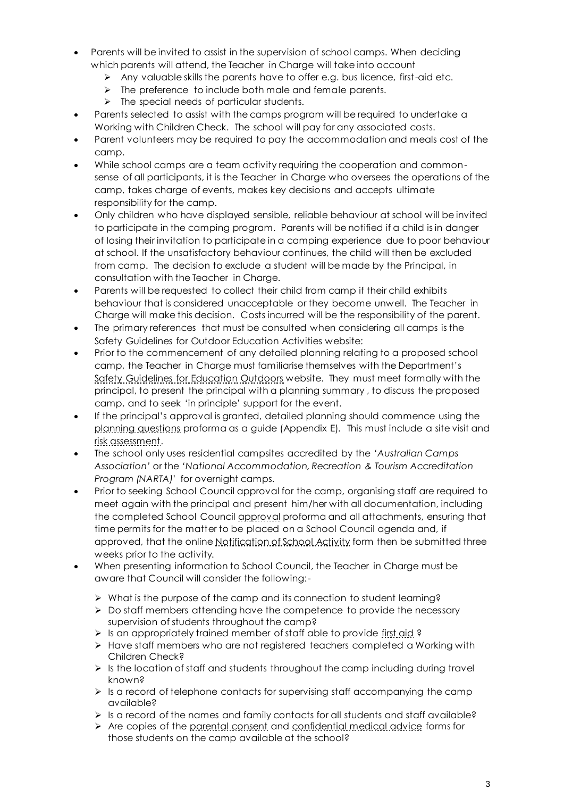- Parents will be invited to assist in the supervision of school camps. When deciding which parents will attend, the Teacher in Charge will take into account
	- $\triangleright$  Any valuable skills the parents have to offer e.g. bus licence, first-aid etc.
	- The preference to include both male and female parents.
	- $\triangleright$  The special needs of particular students.
- Parents selected to assist with the camps program will be required to undertake a Working with Children Check. The school will pay for any associated costs.
- Parent volunteers may be required to pay the accommodation and meals cost of the camp.
- While school camps are a team activity requiring the cooperation and commonsense of all participants, it is the Teacher in Charge who oversees the operations of the camp, takes charge of events, makes key decisions and accepts ultimate responsibility for the camp.
- Only children who have displayed sensible, reliable behaviour at school will be invited to participate in the camping program. Parents will be notified if a child is in danger of losing their invitation to participate in a camping experience due to poor behaviour at school. If the unsatisfactory behaviour continues, the child will then be excluded from camp. The decision to exclude a student will be made by the Principal, in consultation with the Teacher in Charge.
- Parents will be requested to collect their child from camp if their child exhibits behaviour that is considered unacceptable or they become unwell. The Teacher in Charge will make this decision. Costs incurred will be the responsibility of the parent.
- The primary references that must be consulted when considering all camps is the Safety Guidelines for Outdoor Education Activities website:
- Prior to the commencement of any detailed planning relating to a proposed school camp, the Teacher in Charge must familiarise themselves with the Department's [Safety Guidelines for Education Outdoors](http://www.education.vic.gov.au/management/schooloperations/edoutdoors/default.htm) website. They must meet formally with the principal, to present the principal with [a planning summary](http://www.eduweb.vic.gov.au/edulibrary/public/schadmin/schops/edoutdoors/planningsummary.doc) , to discuss the proposed camp, and to seek 'in principle' support for the event.
- If the principal's approval is granted, detailed planning should commence using the [planning questions](http://www.eduweb.vic.gov.au/edulibrary/public/schadmin/schops/edoutdoors/planningquestions.doc) proforma as a guide (Appendix E). This must include a site visit and [risk assessment.](http://www.education.vic.gov.au/management/schooloperations/edoutdoors/risk.htm)
- The school only uses residential campsites accredited by the *'Australian Camps Association'* or the *'National Accommodation, Recreation & Tourism Accreditation Program (NARTA)*' for overnight camps.
- Prior to seeking School Council approval for the camp, organising staff are required to meet again with the principal and present him/her with all documentation, including the completed School Counci[l approval](http://www.eduweb.vic.gov.au/edulibrary/public/schadmin/schops/edoutdoors/approvalform.doc) proforma and all attachments, ensuring that time permits for the matter to be placed on a School Council agenda and, if approved, that the onlin[e Notification of School Activity](http://www.eduweb.vic.gov.au/forms/school/sal/enteractivity.asp) form then be submitted three weeks prior to the activity.
- When presenting information to School Council, the Teacher in Charge must be aware that Council will consider the following:-
	- $\triangleright$  What is the purpose of the camp and its connection to student learning?
	- $\triangleright$  Do staff members attending have the competence to provide the necessary supervision of students throughout the camp?
	- > Is an appropriately trained member of staff able to provide [first aid](http://www.education.vic.gov.au/management/schooloperations/edoutdoors/resources/firstaid.htm) ?
	- $\triangleright$  Have staff members who are not registered teachers completed a Working with Children Check?
	- $\triangleright$  Is the location of staff and students throughout the camp including during travel known?
	- $\triangleright$  Is a record of telephone contacts for supervising staff accompanying the camp available?
	- $\triangleright$  is a record of the names and family contacts for all students and staff available?
	- Are copies of th[e parental consent](http://www.eduweb.vic.gov.au/edulibrary/public/schadmin/schops/edoutdoors/parentconsent.doc) and [confidential medical advice](http://www.eduweb.vic.gov.au/edulibrary/public/schadmin/schops/edoutdoors/medicalinformation.doc) forms for those students on the camp available at the school?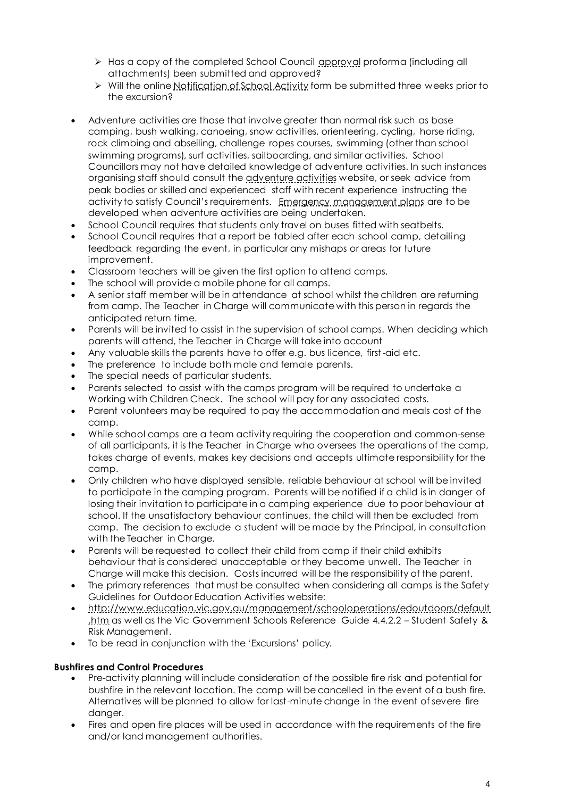- > Has a copy of the completed School Council [approval](http://www.eduweb.vic.gov.au/edulibrary/public/schadmin/schops/edoutdoors/approvalform.doc) proforma (including all attachments) been submitted and approved?
- $\triangleright$  Will the onlin[e Notification of School Activity](http://www.eduweb.vic.gov.au/forms/school/sal/enteractivity.asp) form be submitted three weeks prior to the excursion?
- Adventure activities are those that involve greater than normal risk such as base camping, bush walking, canoeing, snow activities, orienteering, cycling, horse riding, rock climbing and abseiling, challenge ropes courses, swimming (other than school swimming programs), surf activities, sailboarding, and similar activities. School Councillors may not have detailed knowledge of adventure activities. In such instances organising staff should consult the [adventure activities](http://www.education.vic.gov.au/management/schooloperations/edoutdoors/activities/default.htm) website, or seek advice from peak bodies or skilled and experienced staff with recent experience instructing the activity to satisfy Council's requirements. [Emergency management plans](http://www.education.vic.gov.au/management/schooloperations/edoutdoors/forms.htm) are to be developed when adventure activities are being undertaken.
- School Council requires that students only travel on buses fitted with seatbelts.
- School Council requires that a report be tabled after each school camp, detailing feedback regarding the event, in particular any mishaps or areas for future improvement.
- Classroom teachers will be given the first option to attend camps.
- The school will provide a mobile phone for all camps.
- A senior staff member will be in attendance at school whilst the children are returning from camp. The Teacher in Charge will communicate with this person in regards the anticipated return time.
- Parents will be invited to assist in the supervision of school camps. When deciding which parents will attend, the Teacher in Charge will take into account
- Any valuable skills the parents have to offer e.g. bus licence, first-aid etc.
- The preference to include both male and female parents.
- The special needs of particular students.
- Parents selected to assist with the camps program will be required to undertake a Working with Children Check. The school will pay for any associated costs.
- Parent volunteers may be required to pay the accommodation and meals cost of the camp.
- While school camps are a team activity requiring the cooperation and common-sense of all participants, it is the Teacher in Charge who oversees the operations of the camp, takes charge of events, makes key decisions and accepts ultimate responsibility for the camp.
- Only children who have displayed sensible, reliable behaviour at school will be invited to participate in the camping program. Parents will be notified if a child is in danger of losing their invitation to participate in a camping experience due to poor behaviour at school. If the unsatisfactory behaviour continues, the child will then be excluded from camp. The decision to exclude a student will be made by the Principal, in consultation with the Teacher in Charge.
- Parents will be requested to collect their child from camp if their child exhibits behaviour that is considered unacceptable or they become unwell. The Teacher in Charge will make this decision. Costs incurred will be the responsibility of the parent.
- The primary references that must be consulted when considering all camps is the Safety Guidelines for Outdoor Education Activities website:
- [http://www.education.vic.gov.au/management/schooloperations/edoutdoors/default](http://www.education.vic.gov.au/management/schooloperations/edoutdoors/default.htm) [.htm](http://www.education.vic.gov.au/management/schooloperations/edoutdoors/default.htm) as well as the Vic Government Schools Reference Guide 4.4.2.2 – Student Safety & Risk Management.
- To be read in conjunction with the 'Excursions' policy.

## **Bushfires and Control Procedures**

- Pre-activity planning will include consideration of the possible fire risk and potential for bushfire in the relevant location. The camp will be cancelled in the event of a bush fire. Alternatives will be planned to allow for last-minute change in the event of severe fire danger.
- Fires and open fire places will be used in accordance with the requirements of the fire and/or land management authorities.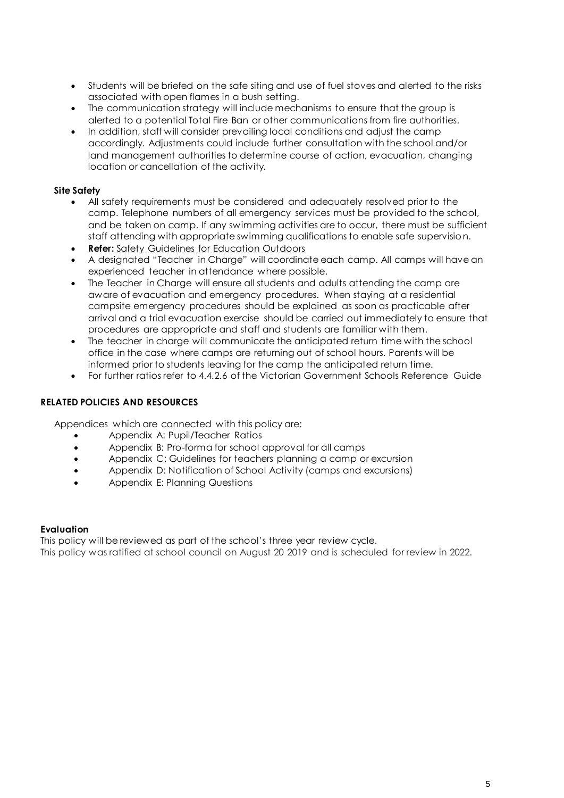- Students will be briefed on the safe siting and use of fuel stoves and alerted to the risks associated with open flames in a bush setting.
- The communication strategy will include mechanisms to ensure that the group is alerted to a potential Total Fire Ban or other communications from fire authorities.
- In addition, staff will consider prevailing local conditions and adjust the camp accordingly. Adjustments could include further consultation with the school and/or land management authorities to determine course of action, evacuation, changing location or cancellation of the activity.

# **Site Safety**

- All safety requirements must be considered and adequately resolved prior to the camp. Telephone numbers of all emergency services must be provided to the school, and be taken on camp. If any swimming activities are to occur, there must be sufficient staff attending with appropriate swimming qualifications to enable safe supervision.
- **Refer:** [Safety Guidelines for Education Outdoors](http://www.education.vic.gov.au/school/principals/safety/pages/outdoor.aspx#mainContent)
- A designated "Teacher in Charge" will coordinate each camp. All camps will have an experienced teacher in attendance where possible.
- The Teacher in Charge will ensure all students and adults attending the camp are aware of evacuation and emergency procedures. When staying at a residential campsite emergency procedures should be explained as soon as practicable after arrival and a trial evacuation exercise should be carried out immediately to ensure that procedures are appropriate and staff and students are familiar with them.
- The teacher in charge will communicate the anticipated return time with the school office in the case where camps are returning out of school hours. Parents will be informed prior to students leaving for the camp the anticipated return time.
- For further ratios refer to 4.4.2.6 of the Victorian Government Schools Reference Guide

# **RELATED POLICIES AND RESOURCES**

Appendices which are connected with this policy are:

- Appendix A: Pupil/Teacher Ratios
- Appendix B: Pro-forma for school approval for all camps
- Appendix C: Guidelines for teachers planning a camp or excursion
- Appendix D: Notification of School Activity (camps and excursions)
- Appendix E: Planning Questions

## **Evaluation**

This policy will be reviewed as part of the school's three year review cycle. This policy was ratified at school council on August 20 2019 and is scheduled for review in 2022.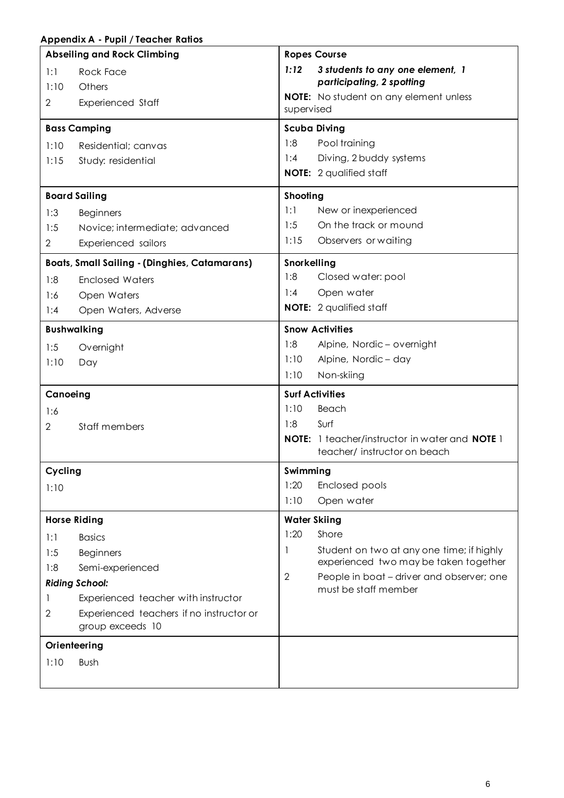# **Appendix A - Pupil / Teacher Ratios**

|                | <b>Abseiling and Rock Climbing</b>                           |                        | <b>Ropes Course</b>                                                                         |
|----------------|--------------------------------------------------------------|------------------------|---------------------------------------------------------------------------------------------|
| 1:1<br>1:10    | <b>Rock Face</b><br>Others                                   | 1:12                   | 3 students to any one element, 1<br>participating, 2 spotting                               |
| 2              | <b>Experienced Staff</b>                                     | supervised             | <b>NOTE:</b> No student on any element unless                                               |
|                | <b>Bass Camping</b>                                          |                        | <b>Scuba Diving</b>                                                                         |
| 1:10           | Residential; canvas                                          | 1:8                    | Pool training                                                                               |
| 1:15           | Study: residential                                           | 1:4                    | Diving, 2 buddy systems                                                                     |
|                |                                                              |                        | <b>NOTE:</b> 2 qualified staff                                                              |
|                | <b>Board Sailing</b>                                         | Shooting               |                                                                                             |
| 1:3            | <b>Beginners</b>                                             | 1:1                    | New or inexperienced                                                                        |
| 1:5            | Novice; intermediate; advanced                               | 1:5                    | On the track or mound                                                                       |
| $\overline{2}$ | Experienced sailors                                          | 1:15                   | Observers or waiting                                                                        |
|                | <b>Boats, Small Sailing - (Dinghies, Catamarans)</b>         | Snorkelling            |                                                                                             |
| 1:8            | <b>Enclosed Waters</b>                                       | 1:8                    | Closed water: pool                                                                          |
| 1:6            | Open Waters                                                  | 1:4                    | Open water                                                                                  |
| 1:4            | Open Waters, Adverse                                         |                        | <b>NOTE:</b> 2 qualified staff                                                              |
|                | <b>Bushwalking</b>                                           | <b>Snow Activities</b> |                                                                                             |
| 1:5            | Overnight                                                    | 1:8                    | Alpine, Nordic - overnight                                                                  |
| 1:10           | Day                                                          | 1:10                   | Alpine, Nordic - day                                                                        |
|                |                                                              | 1:10                   | Non-skiing                                                                                  |
| Canoeing       |                                                              | <b>Surf Activities</b> |                                                                                             |
| 1:6            |                                                              | 1:10                   | Beach                                                                                       |
| 2              | Staff members                                                | 1:8                    | Surf                                                                                        |
|                |                                                              |                        | <b>NOTE:</b> 1 teacher/instructor in water and <b>NOTE</b> 1<br>teacher/instructor on beach |
| Cycling        |                                                              | Swimming               |                                                                                             |
| 1:10           |                                                              | 1:20                   | Enclosed pools                                                                              |
|                |                                                              | 1:10                   | Open water                                                                                  |
|                | <b>Horse Riding</b>                                          | <b>Water Skiing</b>    |                                                                                             |
| 1:1            | <b>Basics</b>                                                | 1:20                   | Shore                                                                                       |
| 1:5            | <b>Beginners</b>                                             | 1                      | Student on two at any one time; if highly                                                   |
| 1:8            | Semi-experienced                                             |                        | experienced two may be taken together                                                       |
|                | <b>Riding School:</b>                                        | $\overline{2}$         | People in boat – driver and observer; one<br>must be staff member                           |
|                | Experienced teacher with instructor                          |                        |                                                                                             |
| $\mathbf{2}$   | Experienced teachers if no instructor or<br>group exceeds 10 |                        |                                                                                             |
|                | Orienteering                                                 |                        |                                                                                             |
| 1:10           | Bush                                                         |                        |                                                                                             |
|                |                                                              |                        |                                                                                             |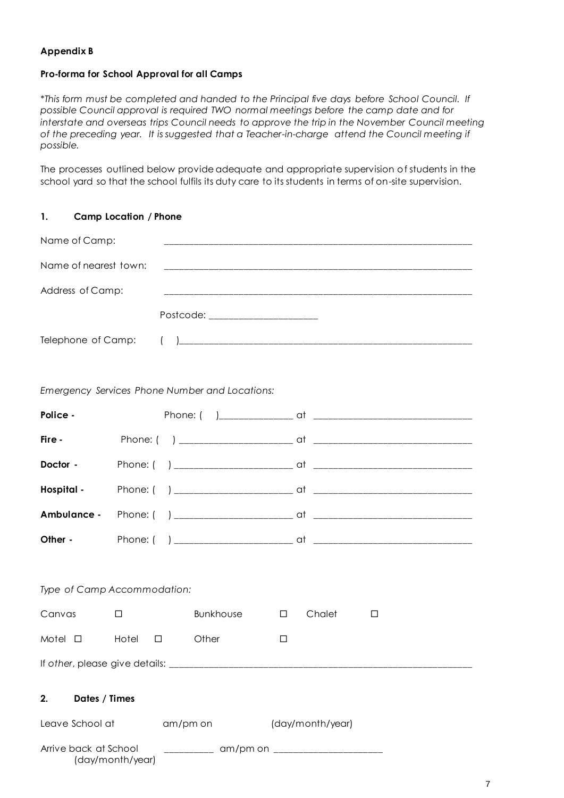# **Appendix B**

## **Pro-forma for School Approval for all Camps**

*\*This form must be completed and handed to the Principal five days before School Council. If possible Council approval is required TWO normal meetings before the camp date and for interstate and overseas trips Council needs to approve the trip in the November Council meeting of the preceding year. It is suggested that a Teacher-in-charge attend the Council meeting if possible.*

The processes outlined below provide adequate and appropriate supervision of students in the school yard so that the school fulfils its duty care to its students in terms of on-site supervision.

| 1.                    | <b>Camp Location / Phone</b> |                                                |                                                                                                                      |   |  |
|-----------------------|------------------------------|------------------------------------------------|----------------------------------------------------------------------------------------------------------------------|---|--|
| Name of Camp:         |                              |                                                |                                                                                                                      |   |  |
| Name of nearest town: |                              |                                                | <u> 1990 - Jan Bernard Bernson, Amerikaans en beskriuwer op de gemeente van de gemeente van de gemeente van de g</u> |   |  |
| Address of Camp:      |                              |                                                |                                                                                                                      |   |  |
|                       |                              | Postcode: ________________________             |                                                                                                                      |   |  |
|                       |                              |                                                |                                                                                                                      |   |  |
|                       |                              | Emergency Services Phone Number and Locations: |                                                                                                                      |   |  |
| Police -              |                              |                                                |                                                                                                                      |   |  |
| Fire -                |                              |                                                |                                                                                                                      |   |  |
| Doctor -              |                              |                                                |                                                                                                                      |   |  |
|                       |                              |                                                |                                                                                                                      |   |  |
|                       |                              |                                                |                                                                                                                      |   |  |
|                       |                              |                                                |                                                                                                                      |   |  |
|                       | Type of Camp Accommodation:  |                                                |                                                                                                                      |   |  |
| Canvas                | $\Box$                       | Bunkhouse                                      | Chalet<br>$\Box$                                                                                                     | □ |  |
| Motel $\square$       | Hotel                        | Other<br>□                                     | □                                                                                                                    |   |  |
|                       |                              |                                                |                                                                                                                      |   |  |
| 2.<br>Dates / Times   |                              |                                                |                                                                                                                      |   |  |
| Leave School at       |                              | am/pm on                                       | (day/month/year)                                                                                                     |   |  |
| Arrive back at School | (day/month/year)             |                                                | _____________ am/pm on _________________________                                                                     |   |  |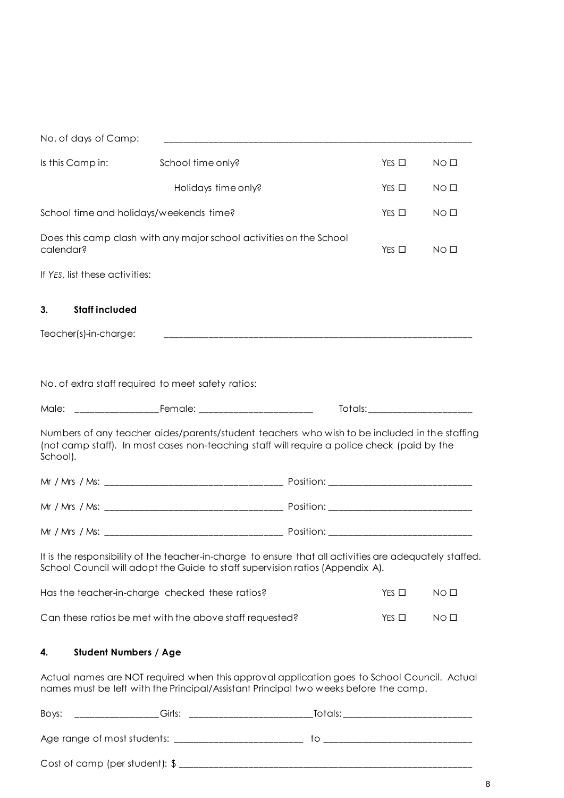| No. of days of Camp:               |                                                                                                                                                                                              |                                                                                                                                                                                                                                |                 |
|------------------------------------|----------------------------------------------------------------------------------------------------------------------------------------------------------------------------------------------|--------------------------------------------------------------------------------------------------------------------------------------------------------------------------------------------------------------------------------|-----------------|
| Is this Camp in:                   | School time only?                                                                                                                                                                            | $Yes \Box$                                                                                                                                                                                                                     | NO <sub>1</sub> |
|                                    | Holidays time only?                                                                                                                                                                          | $YES$ $\square$                                                                                                                                                                                                                | NO <sub>0</sub> |
|                                    | School time and holidays/weekends time?                                                                                                                                                      | $Yes \Box$                                                                                                                                                                                                                     | NO <sub>1</sub> |
| calendar?                          | Does this camp clash with any major school activities on the School                                                                                                                          | $YES$ $\square$                                                                                                                                                                                                                | NO <sub>0</sub> |
| If YES, list these activities:     |                                                                                                                                                                                              |                                                                                                                                                                                                                                |                 |
| <b>Staff included</b><br>3.        |                                                                                                                                                                                              |                                                                                                                                                                                                                                |                 |
| Teacher(s)-in-charge:              |                                                                                                                                                                                              |                                                                                                                                                                                                                                |                 |
|                                    |                                                                                                                                                                                              |                                                                                                                                                                                                                                |                 |
|                                    | No. of extra staff required to meet safety ratios:                                                                                                                                           |                                                                                                                                                                                                                                |                 |
|                                    |                                                                                                                                                                                              | Totals: The contract of the contract of the contract of the contract of the contract of the contract of the contract of the contract of the contract of the contract of the contract of the contract of the contract of the co |                 |
| School).                           | Numbers of any teacher aides/parents/student teachers who wish to be included in the staffing<br>(not camp staff). In most cases non-teaching staff will require a police check (paid by the |                                                                                                                                                                                                                                |                 |
|                                    |                                                                                                                                                                                              |                                                                                                                                                                                                                                |                 |
|                                    |                                                                                                                                                                                              |                                                                                                                                                                                                                                |                 |
|                                    |                                                                                                                                                                                              |                                                                                                                                                                                                                                |                 |
|                                    | It is the responsibility of the teacher-in-charge to ensure that all activities are adequately staffed.<br>School Council will adopt the Guide to staff supervision ratios (Appendix A).     |                                                                                                                                                                                                                                |                 |
|                                    | Has the teacher-in-charge checked these ratios?                                                                                                                                              | $Yes \Box$                                                                                                                                                                                                                     | NO <sub>1</sub> |
|                                    | Can these ratios be met with the above staff requested?                                                                                                                                      | $Yes \Box$                                                                                                                                                                                                                     | NO <sub>0</sub> |
| <b>Student Numbers / Age</b><br>4. |                                                                                                                                                                                              |                                                                                                                                                                                                                                |                 |

Actual names are NOT required when this approval application goes to School Council. Actual names must be left with the Principal/Assistant Principal two weeks before the camp.

| Boys:                                     | ∙utule. |
|-------------------------------------------|---------|
|                                           |         |
| Age range of most students:               |         |
|                                           |         |
| Cost of camp (per student): $\frac{1}{2}$ |         |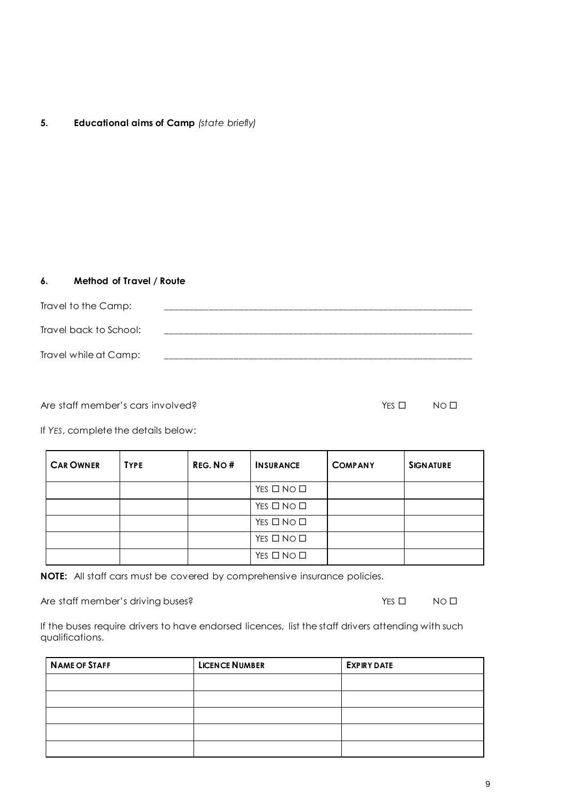# **5. Educational aims of Camp** *(state briefly)*

## **6. Method of Travel / Route**

| Travel to the Camp:    |  |
|------------------------|--|
| Travel back to School: |  |
| Travel while at Camp:  |  |

Are staff member's cars involved?

| YES $\Box$ | NO <sub>II</sub> |
|------------|------------------|
|            |                  |

If *YES*, complete the details below:

| <b>CAR OWNER</b> | <b>TYPE</b> | REG. NO# | <b>INSURANCE</b>           | <b>COMPANY</b> | <b>SIGNATURE</b> |
|------------------|-------------|----------|----------------------------|----------------|------------------|
|                  |             |          | YES $\square$ No $\square$ |                |                  |
|                  |             |          | YES $\square$ NO $\square$ |                |                  |
|                  |             |          | YES $\square$ NO $\square$ |                |                  |
|                  |             |          | YES $\square$ NO $\square$ |                |                  |
|                  |             |          | YES $\square$ NO $\square$ |                |                  |

**NOTE:** All staff cars must be covered by comprehensive insurance policies.

Are staff member's driving buses?<br>
The staff member's driving buses?<br>
The staff member's driving buses?

If the buses require drivers to have endorsed licences, list the staff drivers attending with such qualifications.

| <b>NAME OF STAFF</b> | <b>LICENCE NUMBER</b> | <b>EXPIRY DATE</b> |
|----------------------|-----------------------|--------------------|
|                      |                       |                    |
|                      |                       |                    |
|                      |                       |                    |
|                      |                       |                    |
|                      |                       |                    |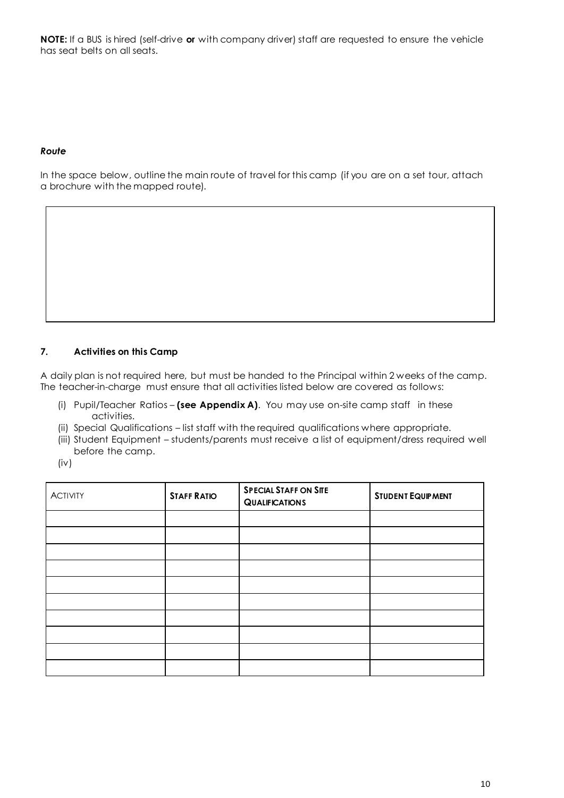**NOTE:** If a BUS is hired (self-drive **or** with company driver) staff are requested to ensure the vehicle has seat belts on all seats.

## *Route*

In the space below, outline the main route of travel for this camp (if you are on a set tour, attach a brochure with the mapped route).

# **7. Activities on this Camp**

A daily plan is not required here, but must be handed to the Principal within 2 weeks of the camp. The teacher-in-charge must ensure that all activities listed below are covered as follows:

- (i) Pupil/Teacher Ratios **(see Appendix A)**. You may use on-site camp staff in these activities.
- (ii) Special Qualifications list staff with the required qualifications where appropriate.
- (iii) Student Equipment students/parents must receive a list of equipment/dress required well before the camp.
- (iv)

| <b>ACTIVITY</b> | <b>STAFF RATIO</b> | <b>SPECIAL STAFF ON SITE</b><br><b>QUALIFICATIONS</b> | <b>STUDENT EQUIPMENT</b> |
|-----------------|--------------------|-------------------------------------------------------|--------------------------|
|                 |                    |                                                       |                          |
|                 |                    |                                                       |                          |
|                 |                    |                                                       |                          |
|                 |                    |                                                       |                          |
|                 |                    |                                                       |                          |
|                 |                    |                                                       |                          |
|                 |                    |                                                       |                          |
|                 |                    |                                                       |                          |
|                 |                    |                                                       |                          |
|                 |                    |                                                       |                          |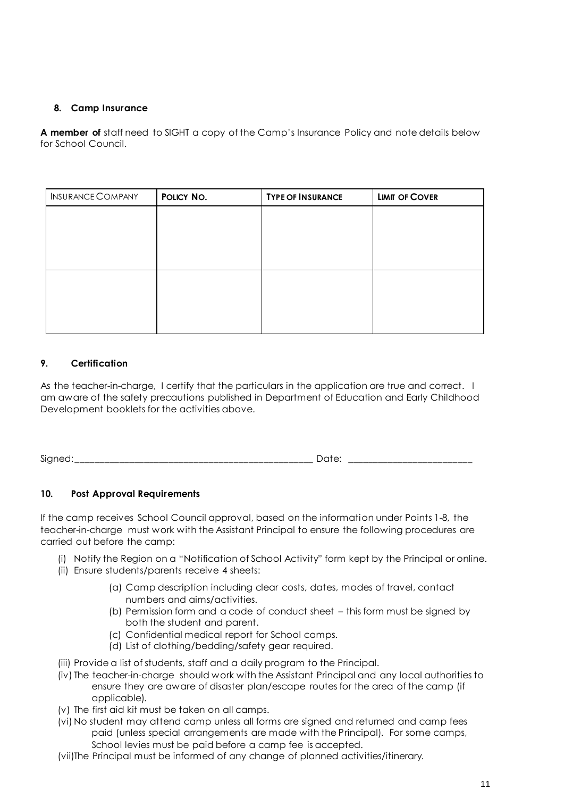# **8. Camp Insurance**

**A member of** staff need to SIGHT a copy of the Camp's Insurance Policy and note details below for School Council.

| <b>INSURANCE COMPANY</b> | POLICY NO. | <b>TYPE OF INSURANCE</b> | <b>LIMIT OF COVER</b> |
|--------------------------|------------|--------------------------|-----------------------|
|                          |            |                          |                       |
|                          |            |                          |                       |
|                          |            |                          |                       |
|                          |            |                          |                       |
|                          |            |                          |                       |
|                          |            |                          |                       |
|                          |            |                          |                       |

# **9. Certification**

As the teacher-in-charge, I certify that the particulars in the application are true and correct. I am aware of the safety precautions published in Department of Education and Early Childhood Development booklets for the activities above.

Signed:\_\_\_\_\_\_\_\_\_\_\_\_\_\_\_\_\_\_\_\_\_\_\_\_\_\_\_\_\_\_\_\_\_\_\_\_\_\_\_\_\_\_\_\_\_\_\_\_ Date: \_\_\_\_\_\_\_\_\_\_\_\_\_\_\_\_\_\_\_\_\_\_\_\_\_

# **10. Post Approval Requirements**

If the camp receives School Council approval, based on the information under Points 1-8, the teacher-in-charge must work with the Assistant Principal to ensure the following procedures are carried out before the camp:

- (i) Notify the Region on a "Notification of School Activity" form kept by the Principal or online.
- (ii) Ensure students/parents receive 4 sheets:
	- (a) Camp description including clear costs, dates, modes of travel, contact numbers and aims/activities.
	- (b) Permission form and a code of conduct sheet this form must be signed by both the student and parent.
	- (c) Confidential medical report for School camps.
	- (d) List of clothing/bedding/safety gear required.
- (iii) Provide a list of students, staff and a daily program to the Principal.
- (iv) The teacher-in-charge should work with the Assistant Principal and any local authorities to ensure they are aware of disaster plan/escape routes for the area of the camp (if applicable).
- (v) The first aid kit must be taken on all camps.
- (vi) No student may attend camp unless all forms are signed and returned and camp fees paid (unless special arrangements are made with the Principal). For some camps, School levies must be paid before a camp fee is accepted.
- (vii)The Principal must be informed of any change of planned activities/itinerary.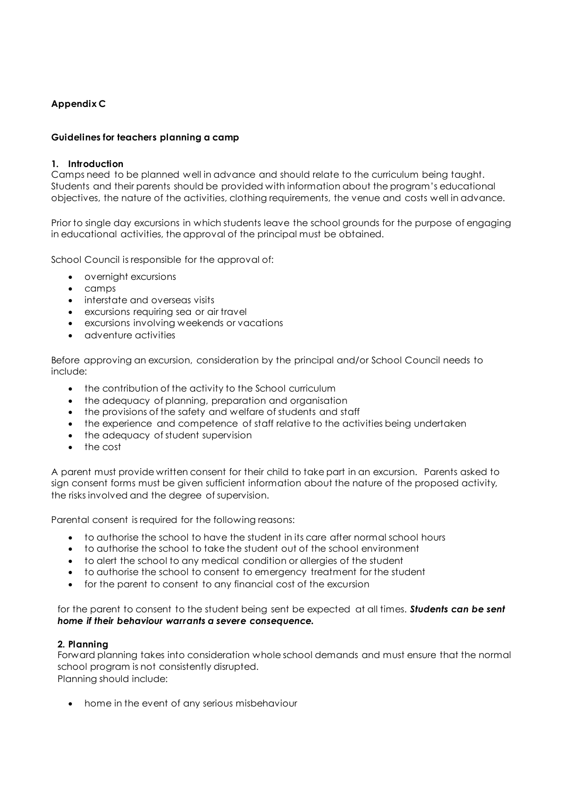# **Appendix C**

## **Guidelines for teachers planning a camp**

## **1. Introduction**

Camps need to be planned well in advance and should relate to the curriculum being taught. Students and their parents should be provided with information about the program's educational objectives, the nature of the activities, clothing requirements, the venue and costs well in advance.

Prior to single day excursions in which students leave the school grounds for the purpose of engaging in educational activities, the approval of the principal must be obtained.

School Council is responsible for the approval of:

- overnight excursions
- camps
- interstate and overseas visits
- excursions requiring sea or air travel
- excursions involving weekends or vacations
- adventure activities

Before approving an excursion, consideration by the principal and/or School Council needs to include:

- the contribution of the activity to the School curriculum
- the adequacy of planning, preparation and organisation
- the provisions of the safety and welfare of students and staff
- the experience and competence of staff relative to the activities being undertaken
- the adequacy of student supervision
- the cost

A parent must provide written consent for their child to take part in an excursion. Parents asked to sign consent forms must be given sufficient information about the nature of the proposed activity, the risks involved and the degree of supervision.

Parental consent is required for the following reasons:

- to authorise the school to have the student in its care after normal school hours
- to authorise the school to take the student out of the school environment
- to alert the school to any medical condition or allergies of the student
- to authorise the school to consent to emergency treatment for the student
- for the parent to consent to any financial cost of the excursion

for the parent to consent to the student being sent be expected at all times. *Students can be sent home if their behaviour warrants a severe consequence.*

## **2. Planning**

Forward planning takes into consideration whole school demands and must ensure that the normal school program is not consistently disrupted.

Planning should include:

home in the event of any serious misbehaviour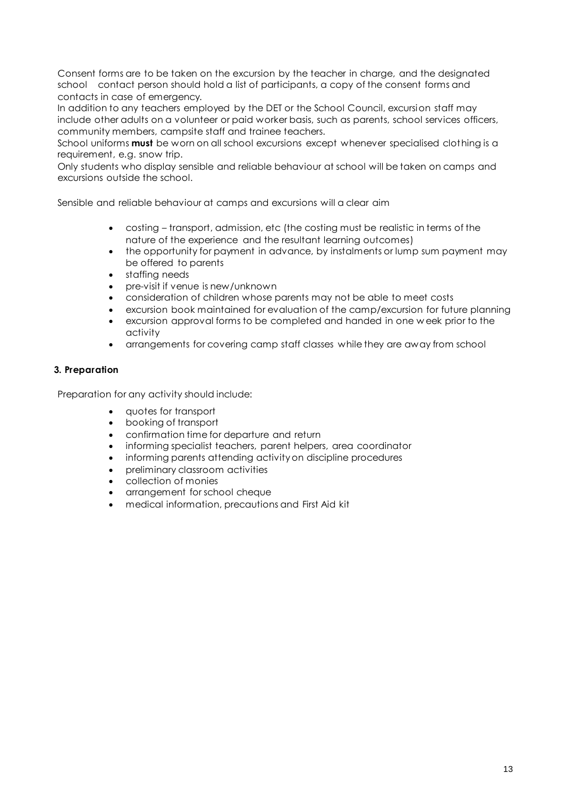Consent forms are to be taken on the excursion by the teacher in charge, and the designated school contact person should hold a list of participants, a copy of the consent forms and contacts in case of emergency.

In addition to any teachers employed by the DET or the School Council, excursion staff may include other adults on a volunteer or paid worker basis, such as parents, school services officers, community members, campsite staff and trainee teachers.

School uniforms **must** be worn on all school excursions except whenever specialised clothing is a requirement, e.g. snow trip.

Only students who display sensible and reliable behaviour at school will be taken on camps and excursions outside the school.

Sensible and reliable behaviour at camps and excursions will a clear aim

- costing transport, admission, etc (the costing must be realistic in terms of the nature of the experience and the resultant learning outcomes)
- the opportunity for payment in advance, by instalments or lump sum payment may be offered to parents
- staffing needs
- pre-visit if venue is new/unknown
- consideration of children whose parents may not be able to meet costs
- excursion book maintained for evaluation of the camp/excursion for future planning
- excursion approval forms to be completed and handed in one w eek prior to the activity
- arrangements for covering camp staff classes while they are away from school

## **3. Preparation**

Preparation for any activity should include:

- quotes for transport
- booking of transport
- confirmation time for departure and return
- informing specialist teachers, parent helpers, area coordinator
- informing parents attending activity on discipline procedures
- preliminary classroom activities
- collection of monies
- arrangement for school cheque
- medical information, precautions and First Aid kit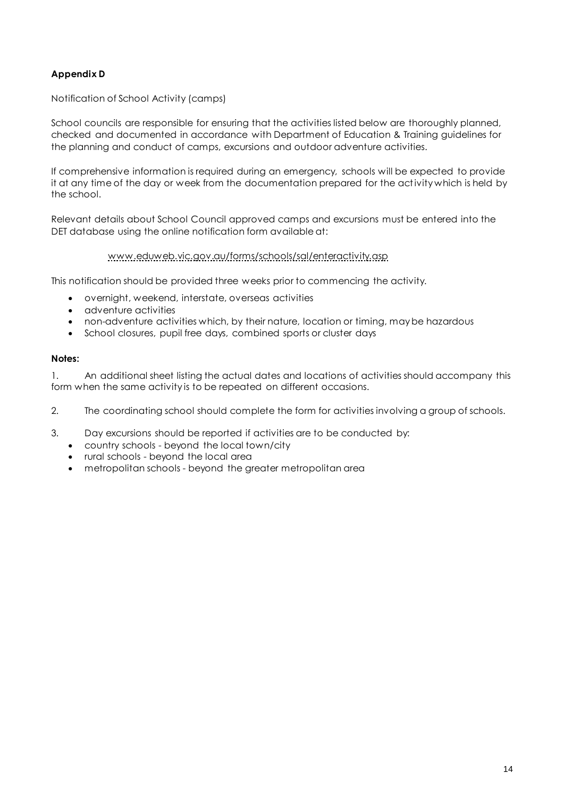# **Appendix D**

## Notification of School Activity (camps)

School councils are responsible for ensuring that the activities listed below are thoroughly planned, checked and documented in accordance with Department of Education & Training guidelines for the planning and conduct of camps, excursions and outdoor adventure activities.

If comprehensive information is required during an emergency, schools will be expected to provide it at any time of the day or week from the documentation prepared for the activity which is held by the school.

Relevant details about School Council approved camps and excursions must be entered into the DET database using the online notification form available at:

## [www.eduweb.vic.gov.au/forms/schools/sal/enteractivity.asp](http://www.eduweb.vic.gov.au/forms/schools/sal/enteractivity.asp)

This notification should be provided three weeks prior to commencing the activity.

- overnight, weekend, interstate, overseas activities
- adventure activities
- non-adventure activities which, by their nature, location or timing, may be hazardous
- School closures, pupil free days, combined sports or cluster days

#### **Notes:**

1. An additional sheet listing the actual dates and locations of activities should accompany this form when the same activity is to be repeated on different occasions.

2. The coordinating school should complete the form for activities involving a group of schools.

- 3. Day excursions should be reported if activities are to be conducted by:
	- country schools beyond the local town/city
	- rural schools beyond the local area
	- metropolitan schools beyond the greater metropolitan area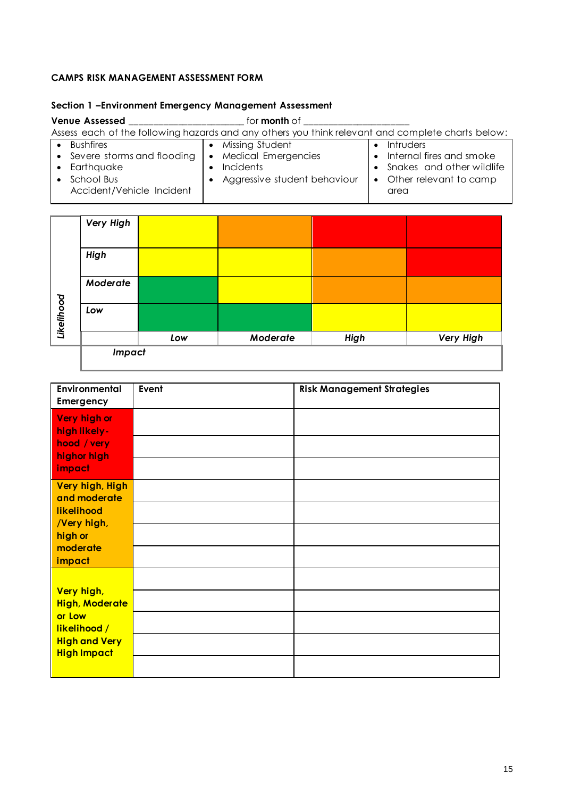## **CAMPS RISK MANAGEMENT ASSESSMENT FORM**

## **Section 1 –Environment Emergency Management Assessment**

#### **Venue Assessed** \_\_\_\_\_\_\_\_\_\_\_\_\_\_\_\_\_\_\_\_\_\_\_\_ for **month** of \_\_\_\_\_\_\_\_\_\_\_\_\_\_\_\_\_\_\_\_\_\_ Assess each of the following hazards and any others you think relevant and complete charts below: **•** Bushfires • Severe storms and flooding • Earthquake • School Bus Accident/Vehicle Incident • Missing Student Medical Emergencies • Incidents Aggressive student behaviour  $\bullet$  Intruders • Internal fires and smoke • Snakes and other wildlife Other relevant to camp area

|            | Very High |     |          |             |           |
|------------|-----------|-----|----------|-------------|-----------|
| Likelihood | High      |     |          |             |           |
|            | Moderate  |     |          |             |           |
|            | Low       |     |          |             |           |
|            |           | Low | Moderate | <b>High</b> | Very High |
|            | Impact    |     |          |             |           |

| Environmental<br>Emergency                                                                                  | Event | <b>Risk Management Strategies</b> |
|-------------------------------------------------------------------------------------------------------------|-------|-----------------------------------|
| Very high or<br>high likely-<br>hood / very<br>highor high<br>impact                                        |       |                                   |
| Very high, High<br>and moderate<br>likelihood<br>/Very high,<br>high or<br>moderate<br>impact               |       |                                   |
| Very high,<br><b>High, Moderate</b><br>or Low<br>likelihood /<br><b>High and Very</b><br><b>High Impact</b> |       |                                   |